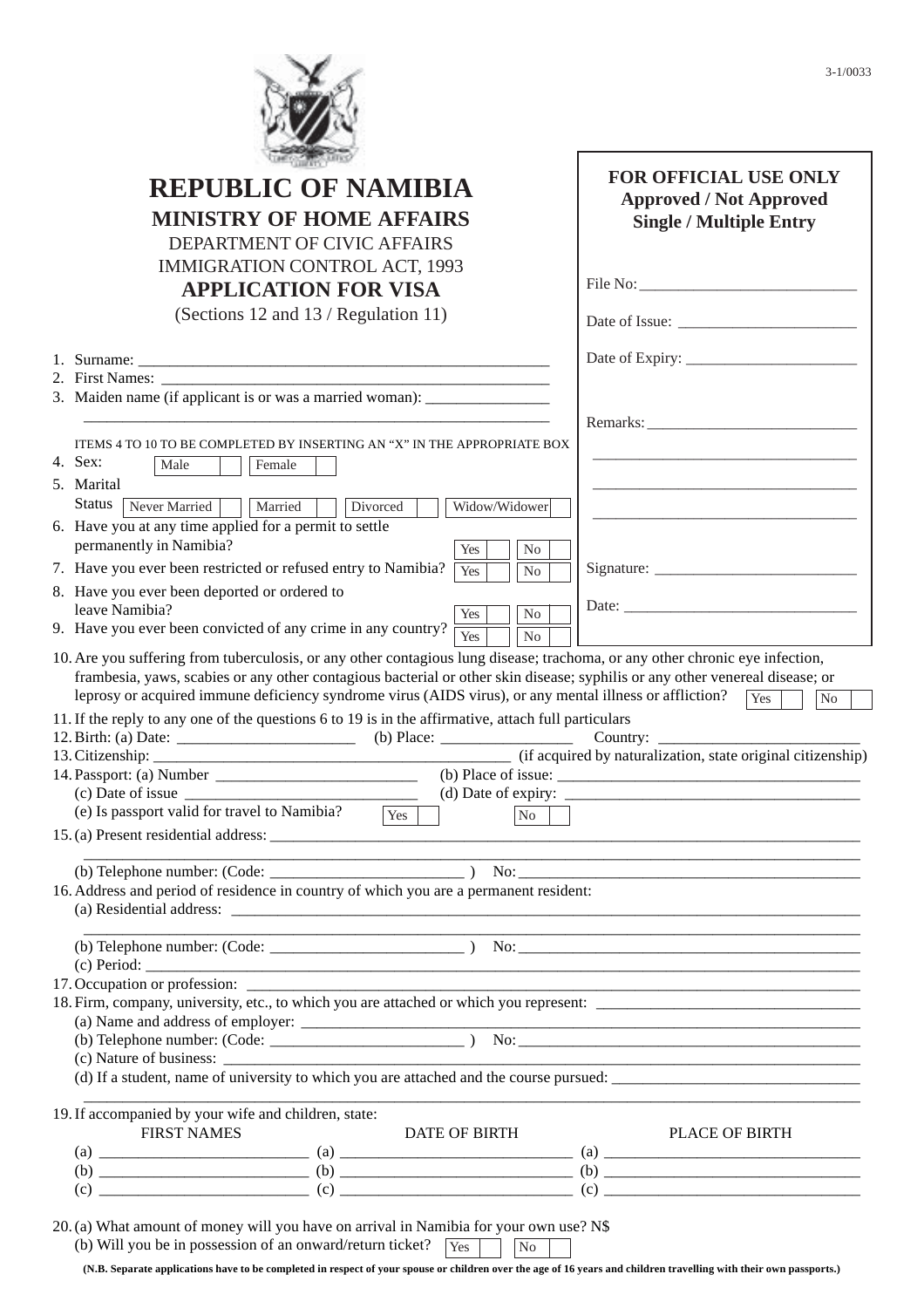|                                                                                                                                                                                                                                                                                                                                                                                                  | <b>FOR OFFICIAL USE ONLY</b>                                                                                                                                                                                                                                                                                                                                                                                                                                                                                                    |
|--------------------------------------------------------------------------------------------------------------------------------------------------------------------------------------------------------------------------------------------------------------------------------------------------------------------------------------------------------------------------------------------------|---------------------------------------------------------------------------------------------------------------------------------------------------------------------------------------------------------------------------------------------------------------------------------------------------------------------------------------------------------------------------------------------------------------------------------------------------------------------------------------------------------------------------------|
| <b>REPUBLIC OF NAMIBIA</b>                                                                                                                                                                                                                                                                                                                                                                       | <b>Approved / Not Approved</b>                                                                                                                                                                                                                                                                                                                                                                                                                                                                                                  |
| <b>MINISTRY OF HOME AFFAIRS</b>                                                                                                                                                                                                                                                                                                                                                                  | <b>Single / Multiple Entry</b>                                                                                                                                                                                                                                                                                                                                                                                                                                                                                                  |
| DEPARTMENT OF CIVIC AFFAIRS                                                                                                                                                                                                                                                                                                                                                                      |                                                                                                                                                                                                                                                                                                                                                                                                                                                                                                                                 |
| <b>IMMIGRATION CONTROL ACT, 1993</b>                                                                                                                                                                                                                                                                                                                                                             |                                                                                                                                                                                                                                                                                                                                                                                                                                                                                                                                 |
| <b>APPLICATION FOR VISA</b>                                                                                                                                                                                                                                                                                                                                                                      |                                                                                                                                                                                                                                                                                                                                                                                                                                                                                                                                 |
| (Sections 12 and 13 / Regulation 11)                                                                                                                                                                                                                                                                                                                                                             |                                                                                                                                                                                                                                                                                                                                                                                                                                                                                                                                 |
|                                                                                                                                                                                                                                                                                                                                                                                                  |                                                                                                                                                                                                                                                                                                                                                                                                                                                                                                                                 |
| 2. First Names:                                                                                                                                                                                                                                                                                                                                                                                  |                                                                                                                                                                                                                                                                                                                                                                                                                                                                                                                                 |
| 3. Maiden name (if applicant is or was a married woman): _______________________                                                                                                                                                                                                                                                                                                                 |                                                                                                                                                                                                                                                                                                                                                                                                                                                                                                                                 |
|                                                                                                                                                                                                                                                                                                                                                                                                  |                                                                                                                                                                                                                                                                                                                                                                                                                                                                                                                                 |
| ITEMS 4 TO 10 TO BE COMPLETED BY INSERTING AN "X" IN THE APPROPRIATE BOX                                                                                                                                                                                                                                                                                                                         |                                                                                                                                                                                                                                                                                                                                                                                                                                                                                                                                 |
| 4. Sex:<br>Male<br>Female                                                                                                                                                                                                                                                                                                                                                                        |                                                                                                                                                                                                                                                                                                                                                                                                                                                                                                                                 |
| 5. Marital                                                                                                                                                                                                                                                                                                                                                                                       |                                                                                                                                                                                                                                                                                                                                                                                                                                                                                                                                 |
| <b>Status</b><br>Married<br>Never Married<br>Widow/Widower<br>Divorced                                                                                                                                                                                                                                                                                                                           |                                                                                                                                                                                                                                                                                                                                                                                                                                                                                                                                 |
| 6. Have you at any time applied for a permit to settle                                                                                                                                                                                                                                                                                                                                           |                                                                                                                                                                                                                                                                                                                                                                                                                                                                                                                                 |
| permanently in Namibia?<br>Yes<br>No                                                                                                                                                                                                                                                                                                                                                             |                                                                                                                                                                                                                                                                                                                                                                                                                                                                                                                                 |
| 7. Have you ever been restricted or refused entry to Namibia?<br>Yes<br>N <sub>0</sub>                                                                                                                                                                                                                                                                                                           | Signature: $\frac{1}{\sqrt{1-\frac{1}{2}} \cdot \frac{1}{2}}$                                                                                                                                                                                                                                                                                                                                                                                                                                                                   |
| 8. Have you ever been deported or ordered to                                                                                                                                                                                                                                                                                                                                                     |                                                                                                                                                                                                                                                                                                                                                                                                                                                                                                                                 |
|                                                                                                                                                                                                                                                                                                                                                                                                  |                                                                                                                                                                                                                                                                                                                                                                                                                                                                                                                                 |
| leave Namibia?<br>N <sub>o</sub><br>Yes<br>9. Have you ever been convicted of any crime in any country?<br>Yes<br>N <sub>o</sub><br>10. Are you suffering from tuberculosis, or any other contagious lung disease; trachoma, or any other chronic eye infection,<br>frambesia, yaws, scabies or any other contagious bacterial or other skin disease; syphilis or any other venereal disease; or |                                                                                                                                                                                                                                                                                                                                                                                                                                                                                                                                 |
| leprosy or acquired immune deficiency syndrome virus (AIDS virus), or any mental illness or affliction?<br>$(b)$ Place:<br>(e) Is passport valid for travel to Namibia?<br>Yes<br>N <sub>o</sub>                                                                                                                                                                                                 | Yes<br>No<br>Country: $\frac{1}{\sqrt{1-\frac{1}{2}}}\left\{ \frac{1}{2}, \frac{1}{2}, \frac{1}{2}, \frac{1}{2}, \frac{1}{2}, \frac{1}{2}, \frac{1}{2}, \frac{1}{2}, \frac{1}{2}, \frac{1}{2}, \frac{1}{2}, \frac{1}{2}, \frac{1}{2}, \frac{1}{2}, \frac{1}{2}, \frac{1}{2}, \frac{1}{2}, \frac{1}{2}, \frac{1}{2}, \frac{1}{2}, \frac{1}{2}, \frac{1}{2}, \frac{1}{2}, \frac{1}{2}, \frac{1}{2}, \frac{1}{2}, \frac{1}{2}, \frac$<br>(if acquired by naturalization, state original citizenship)<br>(d) Date of expiry: $\_\_$ |
|                                                                                                                                                                                                                                                                                                                                                                                                  |                                                                                                                                                                                                                                                                                                                                                                                                                                                                                                                                 |
| 11. If the reply to any one of the questions 6 to 19 is in the affirmative, attach full particulars                                                                                                                                                                                                                                                                                              |                                                                                                                                                                                                                                                                                                                                                                                                                                                                                                                                 |
|                                                                                                                                                                                                                                                                                                                                                                                                  |                                                                                                                                                                                                                                                                                                                                                                                                                                                                                                                                 |
|                                                                                                                                                                                                                                                                                                                                                                                                  |                                                                                                                                                                                                                                                                                                                                                                                                                                                                                                                                 |
|                                                                                                                                                                                                                                                                                                                                                                                                  |                                                                                                                                                                                                                                                                                                                                                                                                                                                                                                                                 |
|                                                                                                                                                                                                                                                                                                                                                                                                  |                                                                                                                                                                                                                                                                                                                                                                                                                                                                                                                                 |
|                                                                                                                                                                                                                                                                                                                                                                                                  |                                                                                                                                                                                                                                                                                                                                                                                                                                                                                                                                 |
|                                                                                                                                                                                                                                                                                                                                                                                                  |                                                                                                                                                                                                                                                                                                                                                                                                                                                                                                                                 |
|                                                                                                                                                                                                                                                                                                                                                                                                  |                                                                                                                                                                                                                                                                                                                                                                                                                                                                                                                                 |
|                                                                                                                                                                                                                                                                                                                                                                                                  |                                                                                                                                                                                                                                                                                                                                                                                                                                                                                                                                 |
| 16. Address and period of residence in country of which you are a permanent resident:<br>17. Occupation or profession:<br>(d) If a student, name of university to which you are attached and the course pursued:                                                                                                                                                                                 |                                                                                                                                                                                                                                                                                                                                                                                                                                                                                                                                 |
|                                                                                                                                                                                                                                                                                                                                                                                                  |                                                                                                                                                                                                                                                                                                                                                                                                                                                                                                                                 |
| 19. If accompanied by your wife and children, state:<br><b>FIRST NAMES</b><br>DATE OF BIRTH                                                                                                                                                                                                                                                                                                      | <b>PLACE OF BIRTH</b>                                                                                                                                                                                                                                                                                                                                                                                                                                                                                                           |
|                                                                                                                                                                                                                                                                                                                                                                                                  |                                                                                                                                                                                                                                                                                                                                                                                                                                                                                                                                 |

**(N.B. Separate applications have to be completed in respect of your spouse or children over the age of 16 years and children travelling with their own passports.)**